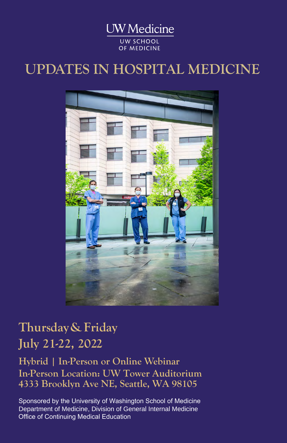**UW** Medicine **UW SCHOOL** OF MEDICINE

## **UPDATES IN HOSPITAL MEDICINE**



## **Thursday& Friday July 21-22, 2022**

**Hybrid | In-Person or Online Webinar In-Person Location: UW Tower Auditorium 4333 Brooklyn Ave NE, Seattle, WA 98105**

Sponsored by the University of Washington School of Medicine Department of Medicine, Division of General Internal Medicine Office of Continuing Medical Education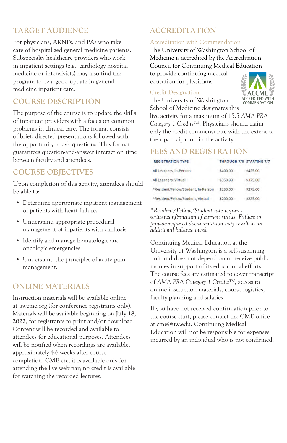### **TARGET AUDIENCE**

For physicians, ARNPs, and PAs who take care of hospitalized general medicine patients. Subspecialty healthcare providers who work in inpatient settings (e.g., cardiology hospital medicine or intensivists) may also find the program to be a good update in general medicine inpatient care.

#### **COURSE DESCRIPTION**

The purpose of the course is to update the skills of inpatient providers with a focus on common problems in clinical care. The format consists of brief, directed presentations followed with the opportunity to ask questions. This format guarantees question-and-answer interaction time between faculty and attendees.

#### **COURSE OBJECTIVES**

Upon completion of this activity, attendees should be able to:

- Determine appropriate inpatient management of patients with heart failure.
- Understand appropriate procedural management of inpatients with cirrhosis.
- Identify and manage hematologic and oncologic emergencies.
- Understand the principles of acute pain management.

#### **ONLINE MATERIALS**

Instruction materials will be available online at uwcme.org (for conference registrants only). Materials will be available beginning on **July 18, 2022**, for registrants to print and/or download. Content will be recorded and available to attendees for educational purposes. Attendees will be notified when recordings are available, approximately 4-6 weeks after course completion. CME credit is available only for attending the live webinar; no credit is available for watching the recorded lectures.

### **ACCREDITATION**

#### Accreditation with Commendation

The University of Washington School of Medicine is accredited by the Accreditation Council for Continuing Medical Education to provide continuing medical education for physicians.

#### Credit Designation

The University of Washington School of Medicine designates this



live activity for a maximum of 15.5 *AMA PRA Category 1 Credits™*. Physicians should claim only the credit commensurate with the extent of their participation in the activity.

#### **FEES AND REGISTRATION**

| <b>REGISTRATION TYPE</b>            | THROUGH 7/6 STARTING 7/7 |          |
|-------------------------------------|--------------------------|----------|
| All Learners, In-Person             | \$400.00                 | \$425.00 |
| All Learners, Virtual               | \$350.00                 | \$375.00 |
| *Resident/Fellow/Student, In-Person | \$250.00                 | \$275.00 |
| *Resident/Fellow/Student, Virtual   | \$200.00                 | \$225.00 |

*\*Resident/Fellow/Student rate requires writtenconfirmation of current status. Failure to provide required documentation may result in an additional balance owed.*

Continuing Medical Education at the University of Washington is a self-sustaining unit and does not depend on or receive public monies in support of its educational efforts. The course fees are estimated to cover transcript of *AMA PRA Category 1 Credits™*, access to online instruction materials, course logistics, faculty planning and salaries.

If you have not received confirmation prior to the course start, please contact the CME office at cme@uw.edu. Continuing Medical Education will not be responsible for expenses incurred by an individual who is not confirmed.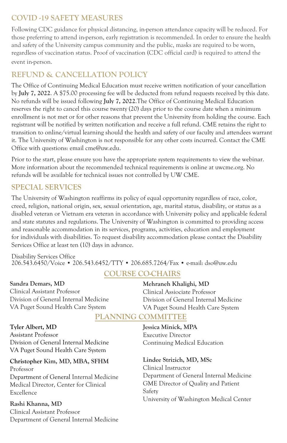#### **COVID -19 SAFETY MEASURES**

Following CDC guidance for physical distancing, in-person attendance capacity will be reduced. For those preferring to attend in-person, early registration is recommended. In order to ensure the health and safety of the University campus community and the public, masks are required to be worn, regardless of vaccination status. Proof of vaccination (CDC official card) is required to attend the event in-person.

### **REFUND & CANCELLATION POLICY**

The Office of Continuing Medical Education must receive written notification of your cancellation by **July 7, 2022**. A \$75.00 processing fee will be deducted from refund requests received by this date. No refunds will be issued following **July 7, 2022**. The Office of Continuing Medical Education reserves the right to cancel this course twenty (20) days prior to the course date when a minimum enrollment is not met or for other reasons that prevent the University from holding the course. Each registrant will be notified by written notification and receive a full refund. CME retains the right to transition to online/virtual learning should the health and safety of our faculty and attendees warrant it. The University of Washington is not responsible for any other costs incurred. Contact the CME Office with questions: email cme@uw.edu.

Prior to the start, please ensure you have the appropriate system requirements to view the webinar. More information about the recommended technical requirements is online at uwcme.org. No refunds will be available for technical issues not controlled by UW CME.

#### **SPECIAL SERVICES**

The University of Washington reaffirms its policy of equal opportunity regardless of race, color, creed, religion, national origin, sex, sexual orientation, age, marital status, disability, or status as a disabled veteran or Vietnam era veteran in accordance with University policy and applicable federal and state statutes and regulations. The University of Washington is committed to providing access and reasonable accommodation in its services, programs, activities, education and employment for individuals with disabilities. To request disability accommodation please contact the Disability Services Office at least ten (10) days in advance.

Disability Services Office 206.543.6450/Voice • 206.543.6452/TTY • 206.685.7264/Fax • e-mail: dso@uw.edu

#### **COURSE CO-CHAIRS**

**Sandra Demars, MD** Clinical Assistant Professor Division of General Internal Medicine VA Puget Sound Health Care System

### Division of General Internal Medicine

VA Puget Sound Health Care System

**Mehraneh Khalighi, MD**  Clinical Assiociate Professor

#### **PLANNING COMMITTEE**

**Tyler Albert, MD** Assistant Professor Division of General Internal Medicine VA Puget Sound Health Care System

#### **Christopher Kim, MD, MBA, SFHM**

Professor Department of General Internal Medicine Medical Director, Center for Clinical Excellence

**Rashi Khanna, MD** Clinical Assistant Professor Department of General Internal Medicine

## **Jessica Minick, MPA**

Executive Director Continuing Medical Education

**Lindee Strizich, MD, MSc** 

Clinical Instructor Department of General Internal Medicine GME Director of Quality and Patient Safety University of Washington Medical Center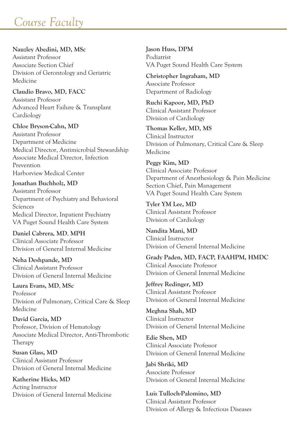## *Course Faculty*

**Nauzley Abedini, MD, MSc** Assistant Professor Associate Section Chief Division of Gerontology and Geriatric Medicine

**Claudio Bravo, MD, FACC** Assistant Professor Advanced Heart Failure & Transplant Cardiology

**Chloe Bryson-Cahn, MD** Assistant Professor Department of Medicine Medical Director, Antimicrobial Stewardship Associate Medical Director, Infection Prevention Harborview Medical Center

**Jonathan Buchholz, MD** Assistant Professor Department of Psychiatry and Behavioral Sciences Medical Director, Inpatient Psychiatry VA Puget Sound Health Care System

**Daniel Cabrera, MD**, **MPH** Clinical Associate Professor Division of General Internal Medicine

**Neha Deshpande, MD** Clinical Assistant Professor Division of General Internal Medicine

**Laura Evans, MD**, **MSc** Professor Division of Pulmonary, Critical Care & Sleep Medicine

**David Garcia, MD** Professor, Division of Hematology Associate Medical Director, Anti-Thrombotic Therapy

**Susan Glass, MD** Clinical Assistant Professor Division of General Internal Medicine

**Katherine Hicks, MD** Acting Instructor Division of General Internal Medicine **Jason Huss, DPM** Podiatrist VA Puget Sound Health Care System

**Christopher Ingraham, MD** Associate Professor Department of Radiology

**Ruchi Kapoor, MD, PhD** Clinical Assistant Professor Division of Cardiology

**Thomas Keller, MD, MS** Clinical Instructor Division of Pulmonary, Critical Care & Sleep Medicine

**Peggy Kim, MD** Clinical Associate Professor Department of Anesthesiology & Pain Medicine Section Chief, Pain Management VA Puget Sound Health Care System

**Tyler YM Lee, MD** Clinical Assistant Professor Division of Cardiology

**Nandita Mani, MD**  Clinical Instructor Division of General Internal Medicine

**Grady Paden, MD, FACP, FAAHPM, HMDC** Clinical Associate Professor Division of General Internal Medicine

**Jeffrey Redinger, MD** Clinical Assistant Professor Division of General Internal Medicine

**Meghna Shah, MD** Clinical Instructor Division of General Internal Medicine

**Edie Shen, MD**  Clinical Associate Professor Division of General Internal Medicine

**Jabi Shriki, MD**  Associate Professor Division of General Internal Medicine

**Luis Tulloch-Palomino, MD** Clinical Assistant Professor Division of Allergy & Infectious Diseases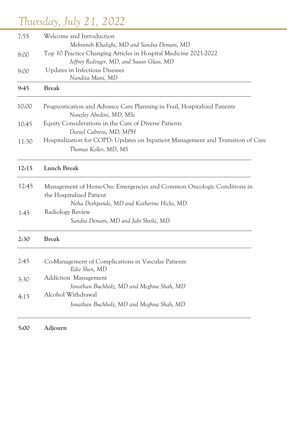# *Thursday, July 21, 2022*

| 7:55  | Welcome and Introduction                                                                                                                                     |  |  |
|-------|--------------------------------------------------------------------------------------------------------------------------------------------------------------|--|--|
| 8:00  | Mehraneh Khalighi, MD and Sandra Demars, MD<br>Top 10 Practice Changing Articles in Hospital Medicine 2021-2022<br>Jeffrey Redinger, MD, and Susan Glass, MD |  |  |
| 9:00  | Updates in Infectious Diseases<br>Nandita Mani, MD                                                                                                           |  |  |
| 9:45  | <b>Break</b>                                                                                                                                                 |  |  |
| 10:00 | Prognostication and Advance Care Planning in Frail, Hospitalized Patients<br>Nauzley Abedini, MD, MSc                                                        |  |  |
| 10:45 | Equity Considerations in the Care of Diverse Patients<br>Daniel Cabrera, MD, MPH                                                                             |  |  |
| 11:30 | Hospitalization for COPD: Updates on Inpatient Management and Transition of Care<br>Thomas Keller, MD, MS                                                    |  |  |
| 12:15 | Lunch Break                                                                                                                                                  |  |  |
| 12:45 | Management of Heme-Onc Emergencies and Common Oncologic Conditions in<br>the Hospitalized Patient                                                            |  |  |
| 1:45  | Neha Deshpande, MD and Katherine Hicks, MD<br>Radiology Review<br>Sandra Demars, MD and Jabi Shriki, MD                                                      |  |  |
| 2:30  | <b>Break</b>                                                                                                                                                 |  |  |
| 2:45  | Co-Management of Complications in Vascular Patients<br>Edie Shen, MD                                                                                         |  |  |
| 3:30  | Addiction Management<br>Jonathan Buchholz, MD and Meghna Shah, MD                                                                                            |  |  |
| 4:15  | Alcohol Withdrawal<br>Jonathan Buchholz, MD and Meghna Shah, MD                                                                                              |  |  |
|       |                                                                                                                                                              |  |  |

**5:00 Adjourn**